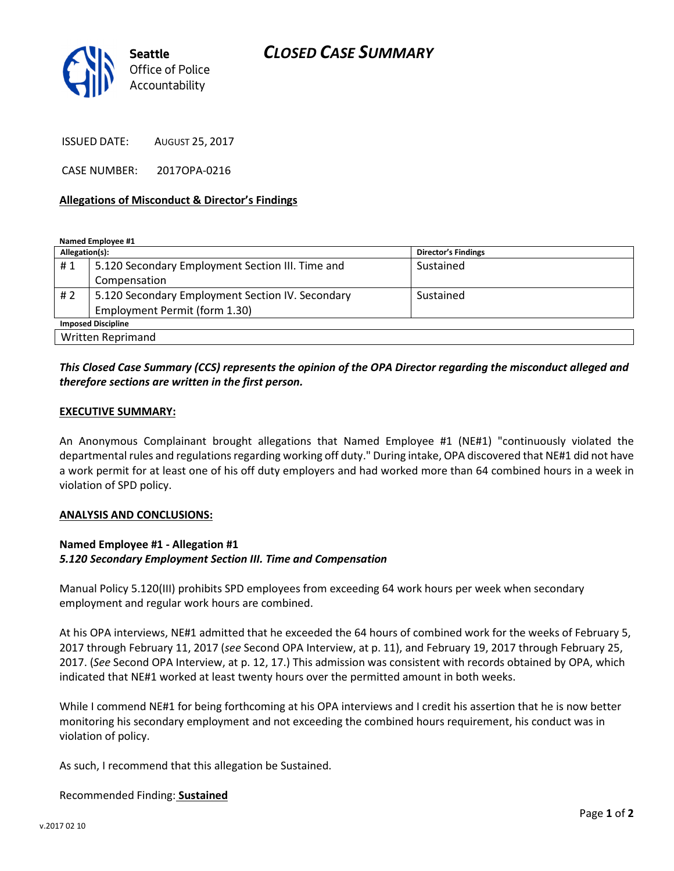

ISSUED DATE: AUGUST 25, 2017

CASE NUMBER: 2017OPA-0216

#### Allegations of Misconduct & Director's Findings

Named Employee #1

| Allegation(s):            |                                                  | <b>Director's Findings</b> |
|---------------------------|--------------------------------------------------|----------------------------|
| #1                        | 5.120 Secondary Employment Section III. Time and | Sustained                  |
|                           | Compensation                                     |                            |
| # 2                       | 5.120 Secondary Employment Section IV. Secondary | Sustained                  |
|                           | Employment Permit (form 1.30)                    |                            |
| <b>Imposed Discipline</b> |                                                  |                            |
| Written Reprimand         |                                                  |                            |

# This Closed Case Summary (CCS) represents the opinion of the OPA Director regarding the misconduct alleged and therefore sections are written in the first person.

#### EXECUTIVE SUMMARY:

An Anonymous Complainant brought allegations that Named Employee #1 (NE#1) "continuously violated the departmental rules and regulations regarding working off duty." During intake, OPA discovered that NE#1 did not have a work permit for at least one of his off duty employers and had worked more than 64 combined hours in a week in violation of SPD policy.

#### ANALYSIS AND CONCLUSIONS:

## Named Employee #1 - Allegation #1 5.120 Secondary Employment Section III. Time and Compensation

Manual Policy 5.120(III) prohibits SPD employees from exceeding 64 work hours per week when secondary employment and regular work hours are combined.

At his OPA interviews, NE#1 admitted that he exceeded the 64 hours of combined work for the weeks of February 5, 2017 through February 11, 2017 (see Second OPA Interview, at p. 11), and February 19, 2017 through February 25, 2017. (See Second OPA Interview, at p. 12, 17.) This admission was consistent with records obtained by OPA, which indicated that NE#1 worked at least twenty hours over the permitted amount in both weeks.

While I commend NE#1 for being forthcoming at his OPA interviews and I credit his assertion that he is now better monitoring his secondary employment and not exceeding the combined hours requirement, his conduct was in violation of policy.

As such, I recommend that this allegation be Sustained.

### Recommended Finding: Sustained